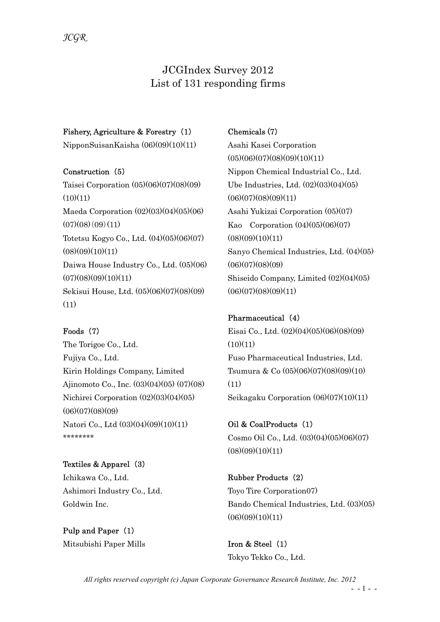# JCGIndex Survey 2012 List of 131 responding firms

#### Fishery, Agriculture & Forestry (1)

NipponSuisanKaisha (06)(09)(10)(11)

#### Construction (5)

Taisei Corporation (05)(06)(07)(08)(09)  $(10)(11)$ Maeda Corporation (02)(03)(04)(05)(06)  $(07)(08)(09)(11)$ Totetsu Kogyo Co., Ltd. (04)(05)(06)(07)  $(08)(09)(10)(11)$ Daiwa House Industry Co., Ltd. (05)(06)  $(07)(08)(09)(10)(11)$ Sekisui House, Ltd. (05)(06)(07)(08)(09)  $(11)$ 

#### Foods (7)

The Torigoe Co., Ltd. Fujiya Co., Ltd. Kirin Holdings Company, Limited Ajinomoto Co., Inc. (03)(04)(05) (07)(08) Nichirei Corporation (02)(03)(04)(05)  $(06)(07)(08)(09)$ Natori Co., Ltd (03)(04)(09)(10)(11) \*\*\*\*\*\*\*\*\*\*\*\*\*\*

Textiles & Apparel (3) Ichikawa Co., Ltd. Ashimori Industry Co., Ltd. Goldwin Inc.

Pulp and Paper (1) Mitsubishi Paper Mills

## Chemicals (7)

Asahi Kasei Corporation  $(05)(06)(07)(08)(09)(10)(11)$ Nippon Chemical Industrial Co., Ltd. Ube Industries, Ltd. (02)(03)(04)(05)  $(06)(07)(08)(09)(11)$ Asahi Yukizai Corporation (05)(07) Kao Corporation (04)(05)(06)(07)  $(08)(09)(10)(11)$ Sanyo Chemical Industries, Ltd. (04)(05)  $(06)(07)(08)(09)$ Shiseido Company, Limited (02)(04)(05)  $(06)(07)(08)(09)(11)$ 

# Pharmaceutical (4)

Eisai Co., Ltd. (02)(04)(05)(06)(08)(09)  $(10)(11)$ Fuso Pharmaceutical Industries, Ltd. Tsumura & Co (05)(06)(07)(08)(09)(10) (11) Seikagaku Corporation (06)(07)(10)(11)

Oil & CoalProducts (1) Cosmo Oil Co., Ltd. (03)(04)(05)(06)(07)  $(08)(09)(10)(11)$ 

Rubber Products (2) Toyo Tire Corporation07) Bando Chemical Industries, Ltd. (03)(05)  $(06)(09)(10)(11)$ 

Iron & Steel (1) Tokyo Tekko Co., Ltd.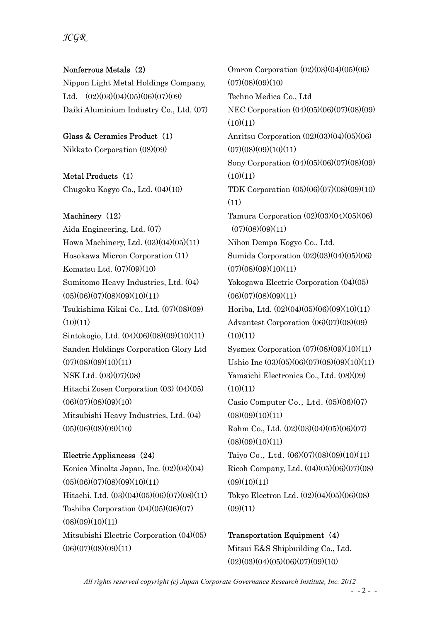# JCGR

#### Nonferrous Metals (2)

Nippon Light Metal Holdings Company, Ltd.  $(02)(03)(04)(05)(06)(07)(09)$ Daiki Aluminium Industry Co., Ltd. (07)

## Glass & Ceramics Product (1)

Nikkato Corporation (08)(09)

#### Metal Products (1)

Chugoku Kogyo Co., Ltd. (04)(10)

# Machinery (12)

Aida Engineering, Ltd. (07) Howa Machinery, Ltd. (03)(04)(05)(11) Hosokawa Micron Corporation (11) Komatsu Ltd. (07)(09)(10) Sumitomo Heavy Industries, Ltd. (04)  $(05)(06)(07)(08)(09)(10)(11)$ Tsukishima Kikai Co., Ltd. (07)(08)(09)  $(10)(11)$ Sintokogio, Ltd. (04)(06)(08)(09)(10)(11) Sanden Holdings Corporation Glory Ltd  $(07)(08)(09)(10)(11)$ NSK Ltd. (03)(07)(08) Hitachi Zosen Corporation (03) (04)(05)  $(06)(07)(08)(09)(10)$ Mitsubishi Heavy Industries, Ltd. (04)  $(05)(06)(08)(09)(10)$ 

#### Electric Appliancess (24)

Konica Minolta Japan, Inc. (02)(03)(04)  $(05)(06)(07)(08)(09)(10)(11)$ Hitachi, Ltd. (03)(04)(05)(06)(07)(08)(11) Toshiba Corporation (04)(05)(06)(07)  $(08)(09)(10)(11)$ Mitsubishi Electric Corporation (04)(05)  $(06)(07)(08)(09)(11)$ 

Omron Corporation (02)(03)(04)(05)(06)  $(07)(08)(09)(10)$ Techno Medica Co., Ltd NEC Corporation (04)(05)(06)(07)(08)(09)  $(10)(11)$ Anritsu Corporation (02)(03)(04)(05)(06)  $(07)(08)(09)(10)(11)$ Sony Corporation (04)(05)(06)(07)(08)(09)  $(10)(11)$ TDK Corporation (05)(06)(07)(08)(09)(10) (11) Tamura Corporation (02)(03)(04)(05)(06)  $(07)(08)(09)(11)$ Nihon Dempa Kogyo Co., Ltd. Sumida Corporation (02)(03)(04)(05)(06)  $(07)(08)(09)(10)(11)$ Yokogawa Electric Corporation (04)(05)  $(06)(07)(08)(09)(11)$ Horiba, Ltd. (02)(04)(05)(06)(09)(10)(11) Advantest Corporation (06)(07)(08)(09)  $(10)(11)$ Sysmex Corporation (07)(08)(09)(10)(11) Ushio Inc (03)(05)(06)(07)(08)(09)(10)(11) Yamaichi Electronics Co., Ltd. (08)(09)  $(10)(11)$ Casio Computer Co., Ltd. (05)(06)(07)  $(08)(09)(10)(11)$ Rohm Co., Ltd. (02)(03)(04)(05)(06)(07)  $(08)(09)(10)(11)$ Taiyo Co., Ltd. (06)(07)(08)(09)(10)(11) Ricoh Company, Ltd. (04)(05)(06)(07)(08)  $(09)(10)(11)$ Tokyo Electron Ltd. (02)(04)(05)(06)(08)  $(09)(11)$ 

#### Transportation Equipment (4)

Mitsui E&S Shipbuilding Co., Ltd.  $(02)(03)(04)(05)(06)(07)(09)(10)$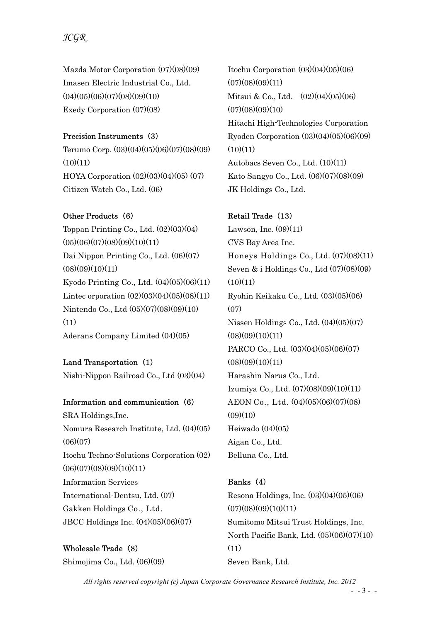# JCGR

Mazda Motor Corporation (07)(08)(09) Imasen Electric Industrial Co., Ltd.  $(04)(05)(06)(07)(08)(09)(10)$ Exedy Corporation (07)(08)

#### Precision Instruments (3)

Terumo Corp. (03)(04)(05)(06)(07)(08)(09)  $(10)(11)$ HOYA Corporation (02)(03)(04)(05) (07) Citizen Watch Co., Ltd. (06)

#### Other Products (6)

Toppan Printing Co., Ltd.  $(02)(03)(04)$  $(05)(06)(07)(08)(09)(10)(11)$ Dai Nippon Printing Co., Ltd. (06)(07)  $(08)(09)(10)(11)$ Kyodo Printing Co., Ltd. (04)(05)(06)(11) Lintec orporation  $(02)(03)(04)(05)(08)(11)$ Nintendo Co., Ltd (05)(07)(08)(09)(10) (11) Aderans Company Limited (04)(05)

Land Transportation (1) Nishi-Nippon Railroad Co., Ltd (03)(04)

Information and communication (6) SRA Holdings,Inc. Nomura Research Institute, Ltd. (04)(05)  $(06)(07)$ Itochu Techno-Solutions Corporation (02)  $(06)(07)(08)(09)(10)(11)$ Information Services International-Dentsu, Ltd. (07) Gakken Holdings Co., Ltd. JBCC Holdings Inc. (04)(05)(06)(07)

Wholesale Trade (8) Shimojima Co., Ltd. (06)(09) Itochu Corporation  $(03)(04)(05)(06)$  $(07)(08)(09)(11)$ Mitsui & Co., Ltd. (02)(04)(05)(06)  $(07)(08)(09)(10)$ Hitachi High-Technologies Corporation Ryoden Corporation (03)(04)(05)(06)(09)  $(10)(11)$ Autobacs Seven Co., Ltd. (10)(11) Kato Sangyo Co., Ltd. (06)(07)(08)(09) JK Holdings Co., Ltd.

#### Retail Trade (13)

Lawson, Inc.  $(09)(11)$ CVS Bay Area Inc. Honeys Holdings Co., Ltd. (07)(08)(11) Seven & i Holdings Co., Ltd (07)(08)(09)  $(10)(11)$ Ryohin Keikaku Co., Ltd. (03)(05)(06)  $(07)$ Nissen Holdings Co., Ltd. (04)(05)(07)  $(08)(09)(10)(11)$ PARCO Co., Ltd.  $(03)(04)(05)(06)(07)$  $(08)(09)(10)(11)$ Harashin Narus Co., Ltd. Izumiya Co., Ltd. (07)(08)(09)(10)(11) AEON Co., Ltd. (04)(05)(06)(07)(08)  $(09)(10)$ Heiwado (04)(05) Aigan Co., Ltd. Belluna Co., Ltd.

#### Banks (4)

Resona Holdings, Inc. (03)(04)(05)(06)  $(07)(08)(09)(10)(11)$ Sumitomo Mitsui Trust Holdings, Inc. North Pacific Bank, Ltd. (05)(06)(07)(10) (11) Seven Bank, Ltd.